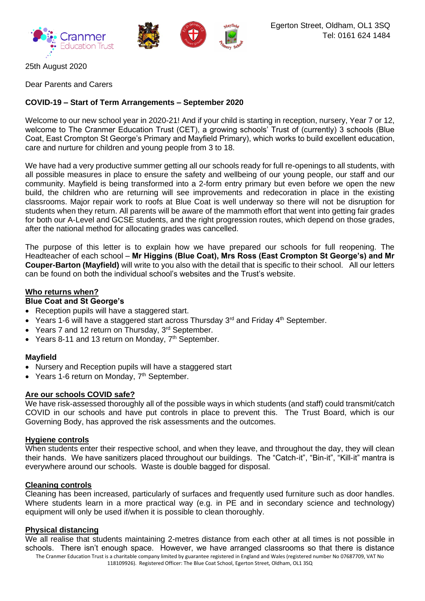

25th August 2020

Dear Parents and Carers

# **COVID-19 – Start of Term Arrangements – September 2020**

Welcome to our new school year in 2020-21! And if your child is starting in reception, nursery, Year 7 or 12, welcome to The Cranmer Education Trust (CET), a growing schools' Trust of (currently) 3 schools (Blue Coat, East Crompton St George's Primary and Mayfield Primary), which works to build excellent education, care and nurture for children and young people from 3 to 18.

We have had a very productive summer getting all our schools ready for full re-openings to all students, with all possible measures in place to ensure the safety and wellbeing of our young people, our staff and our community. Mayfield is being transformed into a 2-form entry primary but even before we open the new build, the children who are returning will see improvements and redecoration in place in the existing classrooms. Major repair work to roofs at Blue Coat is well underway so there will not be disruption for students when they return. All parents will be aware of the mammoth effort that went into getting fair grades for both our A-Level and GCSE students, and the right progression routes, which depend on those grades, after the national method for allocating grades was cancelled.

The purpose of this letter is to explain how we have prepared our schools for full reopening. The Headteacher of each school – **Mr Higgins (Blue Coat), Mrs Ross (East Crompton St George's) and Mr Couper-Barton (Mayfield)** will write to you also with the detail that is specific to their school. All our letters can be found on both the individual school's websites and the Trust's website.

# **Who returns when?**

# **Blue Coat and St George's**

- Reception pupils will have a staggered start.
- Years 1-6 will have a staggered start across Thursday  $3^{rd}$  and Friday  $4^{th}$  September.
- Years 7 and 12 return on Thursday, 3<sup>rd</sup> September.
- Years 8-11 and 13 return on Monday,  $7<sup>th</sup>$  September.

#### **Mayfield**

- Nursery and Reception pupils will have a staggered start
- Years 1-6 return on Monday, 7<sup>th</sup> September.

#### **Are our schools COVID safe?**

We have risk-assessed thoroughly all of the possible ways in which students (and staff) could transmit/catch COVID in our schools and have put controls in place to prevent this. The Trust Board, which is our Governing Body, has approved the risk assessments and the outcomes.

#### **Hygiene controls**

When students enter their respective school, and when they leave, and throughout the day, they will clean their hands. We have sanitizers placed throughout our buildings. The "Catch-it", "Bin-it", "Kill-it" mantra is everywhere around our schools. Waste is double bagged for disposal.

### **Cleaning controls**

Cleaning has been increased, particularly of surfaces and frequently used furniture such as door handles. Where students learn in a more practical way (e.g. in PE and in secondary science and technology) equipment will only be used if/when it is possible to clean thoroughly.

#### **Physical distancing**

The Cranmer Education Trust is a charitable company limited by guarantee registered in England and Wales (registered number No 07687709, VAT No We all realise that students maintaining 2-metres distance from each other at all times is not possible in schools. There isn't enough space. However, we have arranged classrooms so that there is distance

118109926). Registered Officer: The Blue Coat School, Egerton Street, Oldham, OL1 3SQ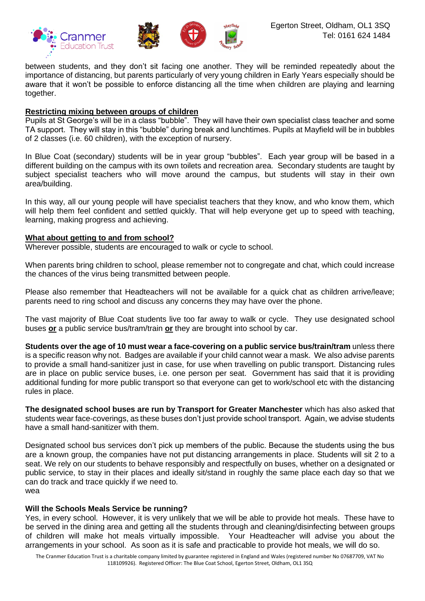

between students, and they don't sit facing one another. They will be reminded repeatedly about the importance of distancing, but parents particularly of very young children in Early Years especially should be aware that it won't be possible to enforce distancing all the time when children are playing and learning together.

# **Restricting mixing between groups of children**

Pupils at St George's will be in a class "bubble". They will have their own specialist class teacher and some TA support. They will stay in this "bubble" during break and lunchtimes. Pupils at Mayfield will be in bubbles of 2 classes (i.e. 60 children), with the exception of nursery.

In Blue Coat (secondary) students will be in year group "bubbles". Each year group will be based in a different building on the campus with its own toilets and recreation area. Secondary students are taught by subject specialist teachers who will move around the campus, but students will stay in their own area/building.

In this way, all our young people will have specialist teachers that they know, and who know them, which will help them feel confident and settled quickly. That will help everyone get up to speed with teaching, learning, making progress and achieving.

# **What about getting to and from school?**

Wherever possible, students are encouraged to walk or cycle to school.

When parents bring children to school, please remember not to congregate and chat, which could increase the chances of the virus being transmitted between people.

Please also remember that Headteachers will not be available for a quick chat as children arrive/leave; parents need to ring school and discuss any concerns they may have over the phone.

The vast majority of Blue Coat students live too far away to walk or cycle. They use designated school buses **or** a public service bus/tram/train **or** they are brought into school by car.

**Students over the age of 10 must wear a face-covering on a public service bus/train/tram** unless there is a specific reason why not. Badges are available if your child cannot wear a mask. We also advise parents to provide a small hand-sanitizer just in case, for use when travelling on public transport. Distancing rules are in place on public service buses, i.e. one person per seat. Government has said that it is providing additional funding for more public transport so that everyone can get to work/school etc with the distancing rules in place.

**The designated school buses are run by Transport for Greater Manchester** which has also asked that students wear face-coverings, as these buses don't just provide school transport. Again, we advise students have a small hand-sanitizer with them.

Designated school bus services don't pick up members of the public. Because the students using the bus are a known group, the companies have not put distancing arrangements in place. Students will sit 2 to a seat. We rely on our students to behave responsibly and respectfully on buses, whether on a designated or public service, to stay in their places and ideally sit/stand in roughly the same place each day so that we can do track and trace quickly if we need to. wea

# **Will the Schools Meals Service be running?**

Yes, in every school. However, it is very unlikely that we will be able to provide hot meals. These have to be served in the dining area and getting all the students through and cleaning/disinfecting between groups of children will make hot meals virtually impossible. Your Headteacher will advise you about the arrangements in your school. As soon as it is safe and practicable to provide hot meals, we will do so.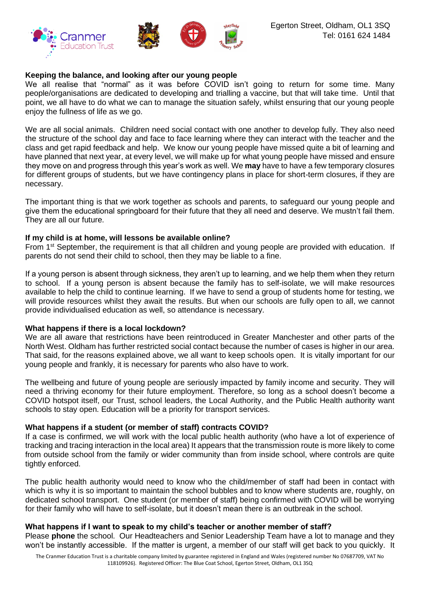

# **Keeping the balance, and looking after our young people**

We all realise that "normal" as it was before COVID isn't going to return for some time. Many people/organisations are dedicated to developing and trialling a vaccine, but that will take time. Until that point, we all have to do what we can to manage the situation safely, whilst ensuring that our young people enjoy the fullness of life as we go.

We are all social animals. Children need social contact with one another to develop fully. They also need the structure of the school day and face to face learning where they can interact with the teacher and the class and get rapid feedback and help. We know our young people have missed quite a bit of learning and have planned that next year, at every level, we will make up for what young people have missed and ensure they move on and progress through this year's work as well. We **may** have to have a few temporary closures for different groups of students, but we have contingency plans in place for short-term closures, if they are necessary.

The important thing is that we work together as schools and parents, to safeguard our young people and give them the educational springboard for their future that they all need and deserve. We mustn't fail them. They are all our future.

### **If my child is at home, will lessons be available online?**

From 1<sup>st</sup> September, the requirement is that all children and young people are provided with education. If parents do not send their child to school, then they may be liable to a fine.

If a young person is absent through sickness, they aren't up to learning, and we help them when they return to school. If a young person is absent because the family has to self-isolate, we will make resources available to help the child to continue learning. If we have to send a group of students home for testing, we will provide resources whilst they await the results. But when our schools are fully open to all, we cannot provide individualised education as well, so attendance is necessary.

#### **What happens if there is a local lockdown?**

We are all aware that restrictions have been reintroduced in Greater Manchester and other parts of the North West. Oldham has further restricted social contact because the number of cases is higher in our area. That said, for the reasons explained above, we all want to keep schools open. It is vitally important for our young people and frankly, it is necessary for parents who also have to work.

The wellbeing and future of young people are seriously impacted by family income and security. They will need a thriving economy for their future employment. Therefore, so long as a school doesn't become a COVID hotspot itself, our Trust, school leaders, the Local Authority, and the Public Health authority want schools to stay open. Education will be a priority for transport services.

# **What happens if a student (or member of staff) contracts COVID?**

If a case is confirmed, we will work with the local public health authority (who have a lot of experience of tracking and tracing interaction in the local area) It appears that the transmission route is more likely to come from outside school from the family or wider community than from inside school, where controls are quite tightly enforced.

The public health authority would need to know who the child/member of staff had been in contact with which is why it is so important to maintain the school bubbles and to know where students are, roughly, on dedicated school transport. One student (or member of staff) being confirmed with COVID will be worrying for their family who will have to self-isolate, but it doesn't mean there is an outbreak in the school.

#### **What happens if I want to speak to my child's teacher or another member of staff?**

Please **phone** the school. Our Headteachers and Senior Leadership Team have a lot to manage and they won't be instantly accessible. If the matter is urgent, a member of our staff will get back to you quickly. It

The Cranmer Education Trust is a charitable company limited by guarantee registered in England and Wales (registered number No 07687709, VAT No 118109926). Registered Officer: The Blue Coat School, Egerton Street, Oldham, OL1 3SQ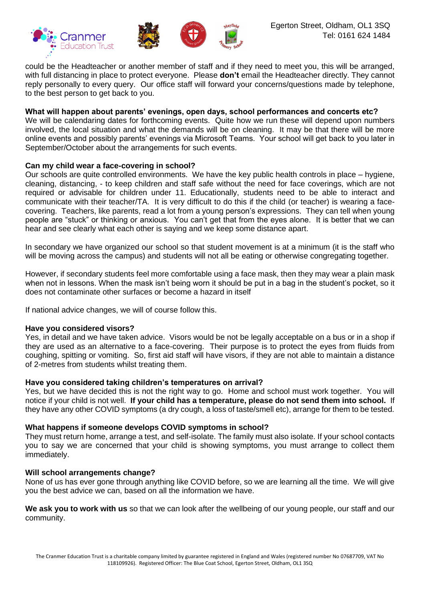

could be the Headteacher or another member of staff and if they need to meet you, this will be arranged, with full distancing in place to protect everyone. Please **don't** email the Headteacher directly. They cannot reply personally to every query. Our office staff will forward your concerns/questions made by telephone, to the best person to get back to you.

# **What will happen about parents' evenings, open days, school performances and concerts etc?**

We will be calendaring dates for forthcoming events. Quite how we run these will depend upon numbers involved, the local situation and what the demands will be on cleaning. It may be that there will be more online events and possibly parents' evenings via Microsoft Teams. Your school will get back to you later in September/October about the arrangements for such events.

# **Can my child wear a face-covering in school?**

Our schools are quite controlled environments. We have the key public health controls in place – hygiene, cleaning, distancing, - to keep children and staff safe without the need for face coverings, which are not required or advisable for children under 11. Educationally, students need to be able to interact and communicate with their teacher/TA. It is very difficult to do this if the child (or teacher) is wearing a facecovering. Teachers, like parents, read a lot from a young person's expressions. They can tell when young people are "stuck" or thinking or anxious. You can't get that from the eyes alone. It is better that we can hear and see clearly what each other is saying and we keep some distance apart.

In secondary we have organized our school so that student movement is at a minimum (it is the staff who will be moving across the campus) and students will not all be eating or otherwise congregating together.

However, if secondary students feel more comfortable using a face mask, then they may wear a plain mask when not in lessons. When the mask isn't being worn it should be put in a bag in the student's pocket, so it does not contaminate other surfaces or become a hazard in itself

If national advice changes, we will of course follow this.

# **Have you considered visors?**

Yes, in detail and we have taken advice. Visors would be not be legally acceptable on a bus or in a shop if they are used as an alternative to a face-covering. Their purpose is to protect the eyes from fluids from coughing, spitting or vomiting. So, first aid staff will have visors, if they are not able to maintain a distance of 2-metres from students whilst treating them.

# **Have you considered taking children's temperatures on arrival?**

Yes, but we have decided this is not the right way to go. Home and school must work together. You will notice if your child is not well. **If your child has a temperature, please do not send them into school.** If they have any other COVID symptoms (a dry cough, a loss of taste/smell etc), arrange for them to be tested.

# **What happens if someone develops COVID symptoms in school?**

They must return home, arrange a test, and self-isolate. The family must also isolate. If your school contacts you to say we are concerned that your child is showing symptoms, you must arrange to collect them immediately.

#### **Will school arrangements change?**

None of us has ever gone through anything like COVID before, so we are learning all the time. We will give you the best advice we can, based on all the information we have.

**We ask you to work with us** so that we can look after the wellbeing of our young people, our staff and our community.